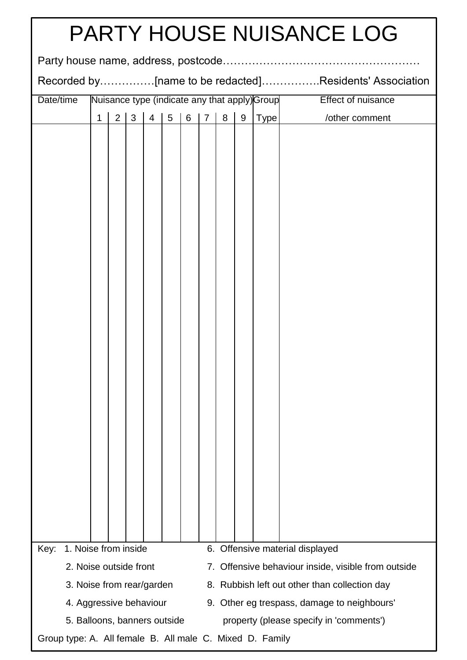| <b>PARTY HOUSE NUISANCE LOG</b>                                                                                                                             |                                                                                                                                             |  |  |  |  |  |  |  |                |  |                                         |
|-------------------------------------------------------------------------------------------------------------------------------------------------------------|---------------------------------------------------------------------------------------------------------------------------------------------|--|--|--|--|--|--|--|----------------|--|-----------------------------------------|
|                                                                                                                                                             |                                                                                                                                             |  |  |  |  |  |  |  |                |  |                                         |
| Recorded by[name to be redacted]Residents' Association                                                                                                      |                                                                                                                                             |  |  |  |  |  |  |  |                |  |                                         |
| Date/time                                                                                                                                                   | Nuisance type (indicate any that apply) Group                                                                                               |  |  |  |  |  |  |  |                |  | <b>Effect of nuisance</b>               |
|                                                                                                                                                             | $6\phantom{1}$<br>$5\phantom{.0}$<br>$\overline{7}$<br>8<br>9<br>$\overline{2}$<br>3<br>$\overline{4}$<br>Type <sup> </sup><br>$\mathbf{1}$ |  |  |  |  |  |  |  | /other comment |  |                                         |
|                                                                                                                                                             |                                                                                                                                             |  |  |  |  |  |  |  |                |  |                                         |
|                                                                                                                                                             |                                                                                                                                             |  |  |  |  |  |  |  |                |  |                                         |
|                                                                                                                                                             |                                                                                                                                             |  |  |  |  |  |  |  |                |  |                                         |
|                                                                                                                                                             |                                                                                                                                             |  |  |  |  |  |  |  |                |  |                                         |
|                                                                                                                                                             |                                                                                                                                             |  |  |  |  |  |  |  |                |  |                                         |
|                                                                                                                                                             |                                                                                                                                             |  |  |  |  |  |  |  |                |  |                                         |
|                                                                                                                                                             |                                                                                                                                             |  |  |  |  |  |  |  |                |  |                                         |
|                                                                                                                                                             |                                                                                                                                             |  |  |  |  |  |  |  |                |  |                                         |
|                                                                                                                                                             |                                                                                                                                             |  |  |  |  |  |  |  |                |  |                                         |
|                                                                                                                                                             |                                                                                                                                             |  |  |  |  |  |  |  |                |  |                                         |
|                                                                                                                                                             |                                                                                                                                             |  |  |  |  |  |  |  |                |  |                                         |
|                                                                                                                                                             |                                                                                                                                             |  |  |  |  |  |  |  |                |  |                                         |
|                                                                                                                                                             |                                                                                                                                             |  |  |  |  |  |  |  |                |  |                                         |
|                                                                                                                                                             |                                                                                                                                             |  |  |  |  |  |  |  |                |  |                                         |
|                                                                                                                                                             |                                                                                                                                             |  |  |  |  |  |  |  |                |  |                                         |
|                                                                                                                                                             |                                                                                                                                             |  |  |  |  |  |  |  |                |  |                                         |
|                                                                                                                                                             |                                                                                                                                             |  |  |  |  |  |  |  |                |  |                                         |
|                                                                                                                                                             |                                                                                                                                             |  |  |  |  |  |  |  |                |  |                                         |
|                                                                                                                                                             |                                                                                                                                             |  |  |  |  |  |  |  |                |  |                                         |
|                                                                                                                                                             |                                                                                                                                             |  |  |  |  |  |  |  |                |  |                                         |
|                                                                                                                                                             |                                                                                                                                             |  |  |  |  |  |  |  |                |  |                                         |
|                                                                                                                                                             |                                                                                                                                             |  |  |  |  |  |  |  |                |  |                                         |
|                                                                                                                                                             |                                                                                                                                             |  |  |  |  |  |  |  |                |  |                                         |
|                                                                                                                                                             |                                                                                                                                             |  |  |  |  |  |  |  |                |  |                                         |
| 1. Noise from inside<br>6. Offensive material displayed<br>Key:                                                                                             |                                                                                                                                             |  |  |  |  |  |  |  |                |  |                                         |
| 2. Noise outside front<br>7. Offensive behaviour inside, visible from outside<br>3. Noise from rear/garden<br>8. Rubbish left out other than collection day |                                                                                                                                             |  |  |  |  |  |  |  |                |  |                                         |
|                                                                                                                                                             | 4. Aggressive behaviour<br>9. Other eg trespass, damage to neighbours'                                                                      |  |  |  |  |  |  |  |                |  |                                         |
|                                                                                                                                                             |                                                                                                                                             |  |  |  |  |  |  |  |                |  | property (please specify in 'comments') |
| 5. Balloons, banners outside<br>Group type: A. All female B. All male C. Mixed D. Family                                                                    |                                                                                                                                             |  |  |  |  |  |  |  |                |  |                                         |